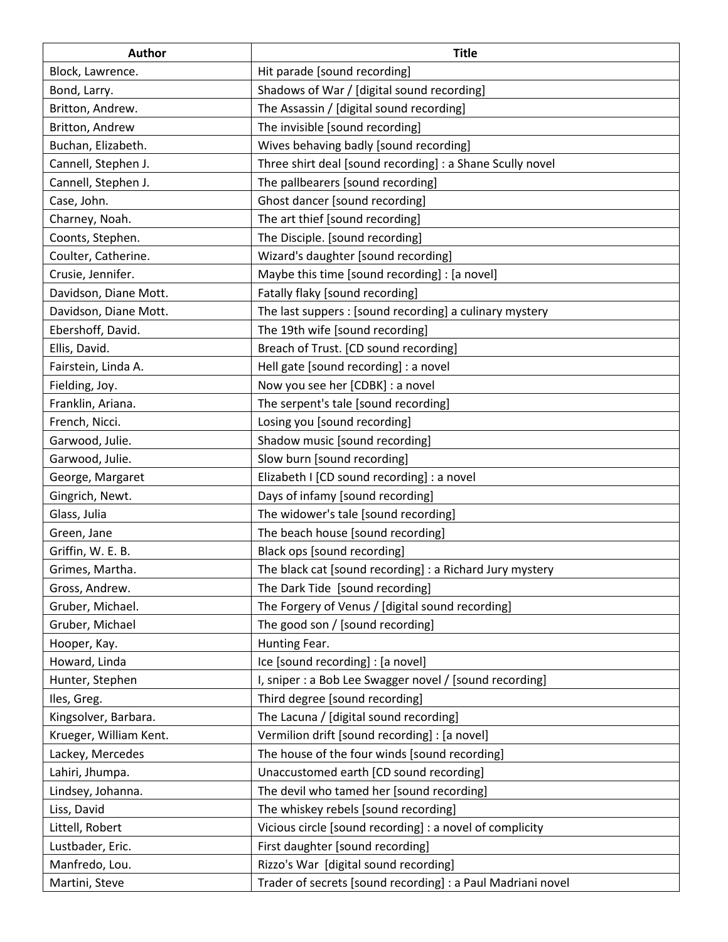| <b>Author</b>          | <b>Title</b>                                                |
|------------------------|-------------------------------------------------------------|
| Block, Lawrence.       | Hit parade [sound recording]                                |
| Bond, Larry.           | Shadows of War / [digital sound recording]                  |
| Britton, Andrew.       | The Assassin / [digital sound recording]                    |
| Britton, Andrew        | The invisible [sound recording]                             |
| Buchan, Elizabeth.     | Wives behaving badly [sound recording]                      |
| Cannell, Stephen J.    | Three shirt deal [sound recording] : a Shane Scully novel   |
| Cannell, Stephen J.    | The pallbearers [sound recording]                           |
| Case, John.            | Ghost dancer [sound recording]                              |
| Charney, Noah.         | The art thief [sound recording]                             |
| Coonts, Stephen.       | The Disciple. [sound recording]                             |
| Coulter, Catherine.    | Wizard's daughter [sound recording]                         |
| Crusie, Jennifer.      | Maybe this time [sound recording] : [a novel]               |
| Davidson, Diane Mott.  | Fatally flaky [sound recording]                             |
| Davidson, Diane Mott.  | The last suppers : [sound recording] a culinary mystery     |
| Ebershoff, David.      | The 19th wife [sound recording]                             |
| Ellis, David.          | Breach of Trust. [CD sound recording]                       |
| Fairstein, Linda A.    | Hell gate [sound recording] : a novel                       |
| Fielding, Joy.         | Now you see her [CDBK] : a novel                            |
| Franklin, Ariana.      | The serpent's tale [sound recording]                        |
| French, Nicci.         | Losing you [sound recording]                                |
| Garwood, Julie.        | Shadow music [sound recording]                              |
| Garwood, Julie.        | Slow burn [sound recording]                                 |
| George, Margaret       | Elizabeth I [CD sound recording] : a novel                  |
| Gingrich, Newt.        | Days of infamy [sound recording]                            |
| Glass, Julia           | The widower's tale [sound recording]                        |
| Green, Jane            | The beach house [sound recording]                           |
| Griffin, W. E. B.      | Black ops [sound recording]                                 |
| Grimes, Martha.        | The black cat [sound recording] : a Richard Jury mystery    |
| Gross, Andrew.         | The Dark Tide [sound recording]                             |
| Gruber, Michael.       | The Forgery of Venus / [digital sound recording]            |
| Gruber, Michael        | The good son / [sound recording]                            |
| Hooper, Kay.           | Hunting Fear.                                               |
| Howard, Linda          | Ice [sound recording] : [a novel]                           |
| Hunter, Stephen        | I, sniper : a Bob Lee Swagger novel / [sound recording]     |
| Iles, Greg.            | Third degree [sound recording]                              |
| Kingsolver, Barbara.   | The Lacuna / [digital sound recording]                      |
| Krueger, William Kent. | Vermilion drift [sound recording] : [a novel]               |
| Lackey, Mercedes       | The house of the four winds [sound recording]               |
| Lahiri, Jhumpa.        | Unaccustomed earth [CD sound recording]                     |
| Lindsey, Johanna.      | The devil who tamed her [sound recording]                   |
| Liss, David            | The whiskey rebels [sound recording]                        |
| Littell, Robert        | Vicious circle [sound recording] : a novel of complicity    |
| Lustbader, Eric.       | First daughter [sound recording]                            |
| Manfredo, Lou.         | Rizzo's War [digital sound recording]                       |
| Martini, Steve         | Trader of secrets [sound recording] : a Paul Madriani novel |